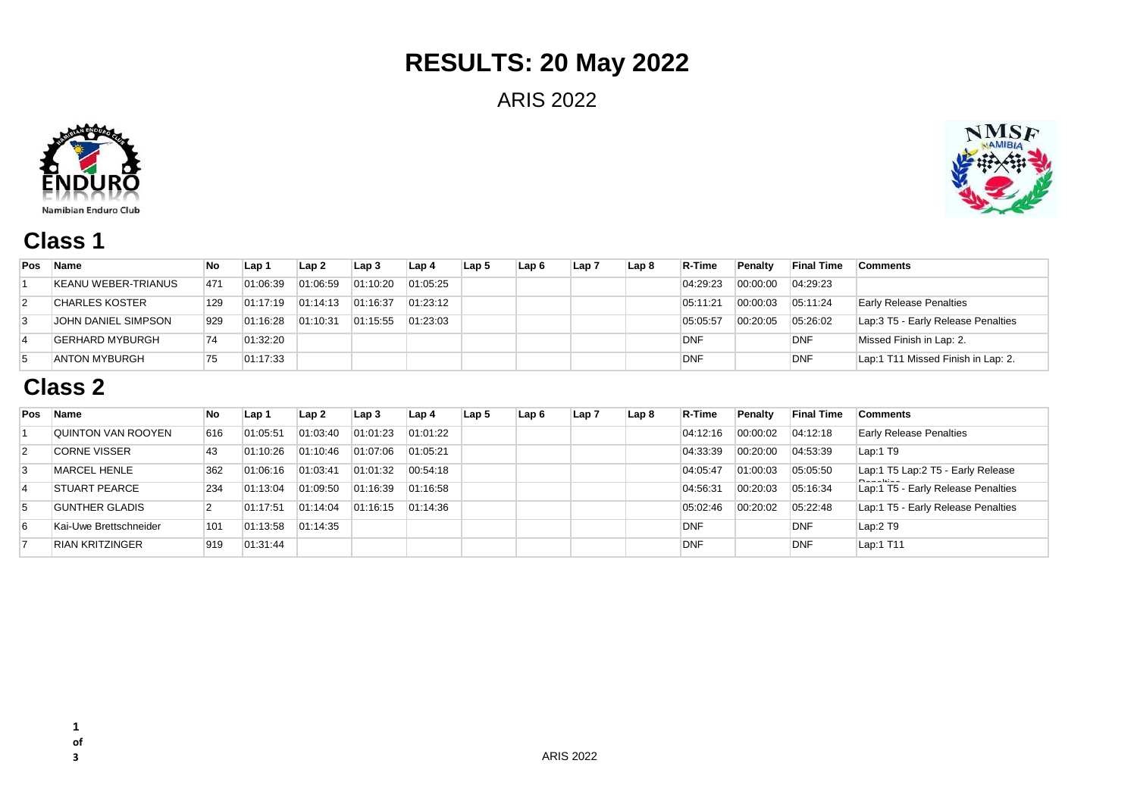# **RESULTS: 20 May 2022**

ARIS 2022





### **Class 1**

| Pos            | Name                       | No  | Lap 1    | Lap <sub>2</sub> | Lap 3    | Lap 4    | Lap <sub>5</sub> | Lap 6 | Lap 7 | Lap 8 | R-Time     | <b>Penalty</b> | <b>Final Time</b> | <b>Comments</b>                     |
|----------------|----------------------------|-----|----------|------------------|----------|----------|------------------|-------|-------|-------|------------|----------------|-------------------|-------------------------------------|
|                | <b>KEANU WEBER-TRIANUS</b> | 471 | 01:06:39 | 01:06:59         | 01:10:20 | 01:05:25 |                  |       |       |       | 04:29:23   | 00:00:00       | 04:29:23          |                                     |
| $\overline{2}$ | 'CHARLES KOSTER            | 129 | 01:17:19 | 01:14:13         | 01:16:37 | 01:23:12 |                  |       |       |       | 05:11:21   | 00:00:03       | 05:11:24          | <b>Early Release Penalties</b>      |
|                | JOHN DANIEL SIMPSON        | 929 | 01:16:28 | 01:10:31         | 01:15:55 | 01:23:03 |                  |       |       |       | 05:05:57   | 00:20:05       | 05:26:02          | Lap: 3 T5 - Early Release Penalties |
|                | <b>GERHARD MYBURGH</b>     | 74  | 01:32:20 |                  |          |          |                  |       |       |       | <b>DNF</b> |                | <b>DNF</b>        | Missed Finish in Lap: 2.            |
|                | <b>ANTON MYBURGH</b>       | 75  | 01:17:33 |                  |          |          |                  |       |       |       | <b>DNF</b> |                | DNF               | Lap:1 T11 Missed Finish in Lap: 2.  |

### **Class 2**

| Pos            | Name                   | No  | Lap 1    | Lap 2    | Lap 3    | Lap 4    | Lap <sub>5</sub> | Lap 6 | Lap 7 | Lap 8 | R-Time     | Penalty  | <b>Final Time</b> | <b>Comments</b>                    |
|----------------|------------------------|-----|----------|----------|----------|----------|------------------|-------|-------|-------|------------|----------|-------------------|------------------------------------|
|                | QUINTON VAN ROOYEN     | 616 | 01:05:51 | 01:03:40 | 01:01:23 | 01:01:22 |                  |       |       |       | 04:12:16   | 00:00:02 | 04:12:18          | <b>Early Release Penalties</b>     |
| $\overline{2}$ | <b>CORNE VISSER</b>    | 43  | 01:10:26 | 01:10:46 | 01:07:06 | 01:05:21 |                  |       |       |       | 04:33:39   | 00:20:00 | 04:53:39          | Lap:1 T9                           |
| 3              | MARCEL HENLE           | 362 | 01:06:16 | 01:03:41 | 01:01:32 | 00:54:18 |                  |       |       |       | 04:05:47   | 01:00:03 | 05:05:50          | Lap:1 T5 Lap:2 T5 - Early Release  |
|                | <b>STUART PEARCE</b>   | 234 | 01:13:04 | 01:09:50 | 01:16:39 | 01:16:58 |                  |       |       |       | 04:56:31   | 00:20:03 | 05:16:34          | Lap:1 T5 - Early Release Penalties |
| 5              | <b>GUNTHER GLADIS</b>  |     | 01:17:51 | 01:14:04 | 01:16:15 | 01:14:36 |                  |       |       |       | 05:02:46   | 00:20:02 | 05:22:48          | Lap:1 T5 - Early Release Penalties |
| 6              | Kai-Uwe Brettschneider | 101 | 01:13:58 | 01:14:35 |          |          |                  |       |       |       | <b>DNF</b> |          | <b>DNF</b>        | Lap:2 T9                           |
|                | RIAN KRITZINGER        | 919 | 01:31:44 |          |          |          |                  |       |       |       | <b>DNF</b> |          | <b>DNF</b>        | Lap:1 T11                          |

**of**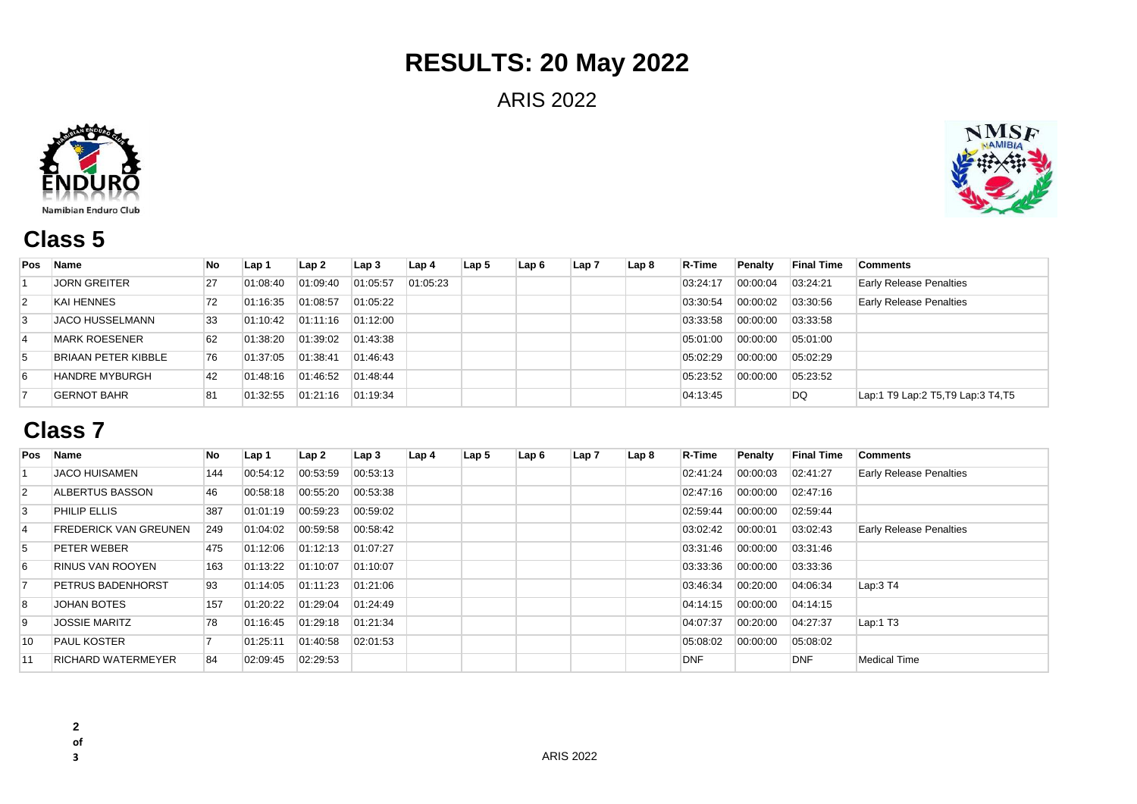# **RESULTS: 20 May 2022**

ARIS 2022





## **Class 5**

| <b>Pos</b>     | Name                       | No | Lap 1    | Lap2     | Lap 3    | Lap <sub>4</sub> | Lap <sub>5</sub> | Lap 6 | Lap <sub>7</sub> | Lap 8 | R-Time   | Penalty  | <b>Final Time</b> | <b>Comments</b>                    |
|----------------|----------------------------|----|----------|----------|----------|------------------|------------------|-------|------------------|-------|----------|----------|-------------------|------------------------------------|
|                | <b>JORN GREITER</b>        | 27 | 01:08:40 | 01:09:40 | 01:05:57 | 01:05:23         |                  |       |                  |       | 03:24:17 | 00:00:04 | 03:24:21          | <b>Early Release Penalties</b>     |
| $\overline{2}$ | <b>KAI HENNES</b>          | 72 | 01:16:35 | 01:08:57 | 01:05:22 |                  |                  |       |                  |       | 03:30:54 | 00:00:02 | 03:30:56          | <b>Early Release Penalties</b>     |
| 3              | <b>JACO HUSSELMANN</b>     | 33 | 01:10:42 | 01:11:16 | 01:12:00 |                  |                  |       |                  |       | 03:33:58 | 00:00:00 | 03:33:58          |                                    |
| $\overline{4}$ | <b>MARK ROESENER</b>       | 62 | 01:38:20 | 01:39:02 | 01:43:38 |                  |                  |       |                  |       | 05:01:00 | 00:00:00 | 05:01:00          |                                    |
| 5              | <b>BRIAAN PETER KIBBLE</b> | 76 | 01:37:05 | 01:38:41 | 01:46:43 |                  |                  |       |                  |       | 05:02:29 | 00:00:00 | 05:02:29          |                                    |
| 6              | <b>HANDRE MYBURGH</b>      | 42 | 01:48:16 | 01:46:52 | 01:48:44 |                  |                  |       |                  |       | 05:23:52 | 00:00:00 | 05:23:52          |                                    |
|                | <b>GERNOT BAHR</b>         | 81 | 01:32:55 | 01:21:16 | 01:19:34 |                  |                  |       |                  |       | 04:13:45 |          | DQ                | Lap:1 T9 Lap:2 T5, T9 Lap:3 T4, T5 |

### **Class 7**

| Pos            | <b>Name</b>                  | No  | Lap 1    | Lap 2    | Lap3     | Lap 4 | Lap 5 | Lap 6 | Lap 7 | Lap 8 | R-Time     | Penalty  | <b>Final Time</b> | Comments                       |
|----------------|------------------------------|-----|----------|----------|----------|-------|-------|-------|-------|-------|------------|----------|-------------------|--------------------------------|
|                | <b>JACO HUISAMEN</b>         | 144 | 00:54:12 | 00:53:59 | 00:53:13 |       |       |       |       |       | 02:41:24   | 00:00:03 | 02:41:27          | <b>Early Release Penalties</b> |
| $\overline{2}$ | ALBERTUS BASSON              | 46  | 00:58:18 | 00:55:20 | 00:53:38 |       |       |       |       |       | 02:47:16   | 00:00:00 | 02:47:16          |                                |
| 3              | <b>PHILIP ELLIS</b>          | 387 | 01:01:19 | 00:59:23 | 00:59:02 |       |       |       |       |       | 02:59:44   | 00:00:00 | 02:59:44          |                                |
| $\overline{4}$ | <b>FREDERICK VAN GREUNEN</b> | 249 | 01:04:02 | 00:59:58 | 00:58:42 |       |       |       |       |       | 03:02:42   | 00:00:01 | 03:02:43          | <b>Early Release Penalties</b> |
| 5              | <b>PETER WEBER</b>           | 475 | 01:12:06 | 01:12:13 | 01:07:27 |       |       |       |       |       | 03:31:46   | 00:00:00 | 03:31:46          |                                |
| 6              | <b>RINUS VAN ROOYEN</b>      | 163 | 01:13:22 | 01:10:07 | 01:10:07 |       |       |       |       |       | 03:33:36   | 00:00:00 | 03:33:36          |                                |
|                | <b>PETRUS BADENHORST</b>     | 93  | 01:14:05 | 01:11:23 | 01:21:06 |       |       |       |       |       | 03:46:34   | 00:20:00 | 04:06:34          | Lap:3 T4                       |
| 8              | <b>JOHAN BOTES</b>           | 157 | 01:20:22 | 01:29:04 | 01:24:49 |       |       |       |       |       | 04:14:15   | 00:00:00 | 04:14:15          |                                |
| 9              | <b>JOSSIE MARITZ</b>         | 78  | 01:16:45 | 01:29:18 | 01:21:34 |       |       |       |       |       | 04:07:37   | 00:20:00 | 04:27:37          | Lap:1 $T3$                     |
| 10             | <b>PAUL KOSTER</b>           |     | 01:25:11 | 01:40:58 | 02:01:53 |       |       |       |       |       | 05:08:02   | 00:00:00 | 05:08:02          |                                |
| 11             | <b>RICHARD WATERMEYER</b>    | 84  | 02:09:45 | 02:29:53 |          |       |       |       |       |       | <b>DNF</b> |          | <b>DNF</b>        | <b>Medical Time</b>            |

**2** 

**of**